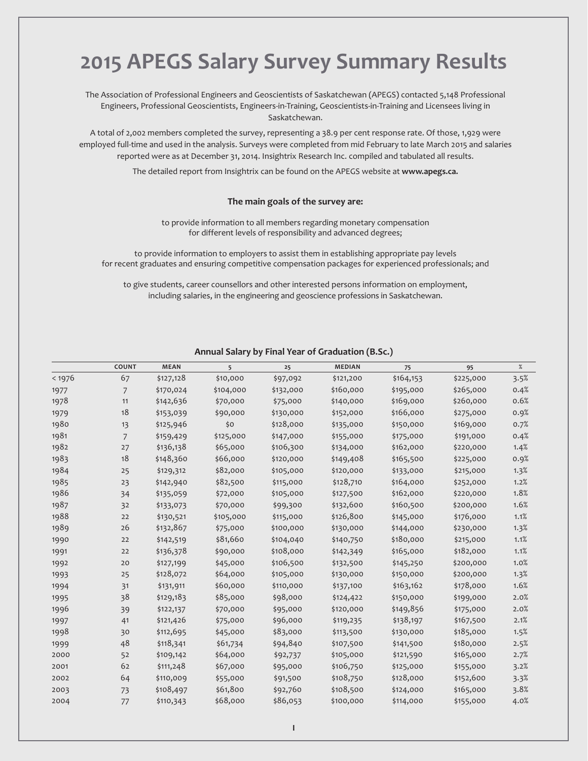# **ApeGs salary survey summary results**

the association of Professional Engineers and Geoscientists of Saskatchewan (aPEGS) contacted 5,148 Professional Engineers, Professional Geoscientists, Engineers-in-training, Geoscientists-in-training and licensees living in Saskatchewan.

a total of 2,002 members completed the survey, representing a 38.9 per cent response rate. Of those, 1,929 were employed full-time and used in the analysis. Surveys were completed from mid February to late March 2015 and salaries reported were as at December 31, 2014. Insightrix Research Inc. compiled and tabulated all results.

the detailed report from Insightrix can be found on the aPEGS website at **www.apegs.ca.**

#### **the main goals of the survey are:**

to provide information to all members regarding monetary compensation for different levels of responsibility and advanced degrees;

to provide information to employers to assist them in establishing appropriate pay levels for recent graduates and ensuring competitive compensation packages for experienced professionals; and

to give students, career counsellors and other interested persons information on employment, including salaries, in the engineering and geoscience professions in Saskatchewan.

| 67<br>< 1976<br>\$127,128<br>\$10,000<br>\$97,092<br>\$132,000<br>1977<br>7<br>\$170,024<br>\$104,000<br>1978<br>11<br>\$142,636<br>\$70,000<br>\$75,000<br>18<br>\$153,039<br>\$130,000<br>1979<br>\$90,000<br>1980<br>\$128,000<br>\$125,946<br>\$0<br>13<br>1981<br>$\overline{7}$<br>\$159,429<br>\$125,000<br>\$147,000<br>1982<br>27<br>\$136,138<br>\$65,000<br>\$106,300<br>18<br>1983<br>\$148,360<br>\$66,000<br>\$120,000<br>1984<br>\$82,000<br>25<br>\$105,000<br>\$129,312 | \$121,200<br>\$160,000<br>\$140,000<br>\$152,000<br>\$135,000<br>\$155,000<br>\$134,000<br>\$149,408<br>\$120,000<br>\$128,710 | \$164,153<br>\$195,000<br>\$169,000<br>\$166,000<br>\$150,000<br>\$175,000<br>\$162,000<br>\$165,500<br>\$133,000 | \$225,000<br>\$265,000<br>\$260,000<br>\$275,000<br>\$169,000<br>\$191,000<br>\$220,000<br>\$225,000 | 3.5%<br>0.4%<br>0.6%<br>0.9%<br>0.7%<br>0.4%<br>1.4% |
|------------------------------------------------------------------------------------------------------------------------------------------------------------------------------------------------------------------------------------------------------------------------------------------------------------------------------------------------------------------------------------------------------------------------------------------------------------------------------------------|--------------------------------------------------------------------------------------------------------------------------------|-------------------------------------------------------------------------------------------------------------------|------------------------------------------------------------------------------------------------------|------------------------------------------------------|
|                                                                                                                                                                                                                                                                                                                                                                                                                                                                                          |                                                                                                                                |                                                                                                                   |                                                                                                      |                                                      |
|                                                                                                                                                                                                                                                                                                                                                                                                                                                                                          |                                                                                                                                |                                                                                                                   |                                                                                                      |                                                      |
|                                                                                                                                                                                                                                                                                                                                                                                                                                                                                          |                                                                                                                                |                                                                                                                   |                                                                                                      |                                                      |
|                                                                                                                                                                                                                                                                                                                                                                                                                                                                                          |                                                                                                                                |                                                                                                                   |                                                                                                      |                                                      |
|                                                                                                                                                                                                                                                                                                                                                                                                                                                                                          |                                                                                                                                |                                                                                                                   |                                                                                                      |                                                      |
|                                                                                                                                                                                                                                                                                                                                                                                                                                                                                          |                                                                                                                                |                                                                                                                   |                                                                                                      |                                                      |
|                                                                                                                                                                                                                                                                                                                                                                                                                                                                                          |                                                                                                                                |                                                                                                                   |                                                                                                      |                                                      |
|                                                                                                                                                                                                                                                                                                                                                                                                                                                                                          |                                                                                                                                |                                                                                                                   |                                                                                                      | 0.9%                                                 |
|                                                                                                                                                                                                                                                                                                                                                                                                                                                                                          |                                                                                                                                |                                                                                                                   | \$215,000                                                                                            | 1.3%                                                 |
| 1985<br>\$82,500<br>23<br>\$115,000<br>\$142,940                                                                                                                                                                                                                                                                                                                                                                                                                                         |                                                                                                                                | \$164,000                                                                                                         | \$252,000                                                                                            | 1.2%                                                 |
| 1986<br>\$72,000<br>34<br>\$105,000<br>\$135,059                                                                                                                                                                                                                                                                                                                                                                                                                                         | \$127,500                                                                                                                      | \$162,000                                                                                                         | \$220,000                                                                                            | 1.8%                                                 |
| 1987<br>32<br>\$133,073<br>\$70,000<br>\$99,300                                                                                                                                                                                                                                                                                                                                                                                                                                          | \$132,600                                                                                                                      | \$160,500                                                                                                         | \$200,000                                                                                            | 1.6%                                                 |
| 1988<br>22<br>\$105,000<br>\$130,521<br>\$115,000                                                                                                                                                                                                                                                                                                                                                                                                                                        | \$126,800                                                                                                                      | \$145,000                                                                                                         | \$176,000                                                                                            | 1.1%                                                 |
| 1989<br>26<br>\$132,867<br>\$75,000<br>\$100,000                                                                                                                                                                                                                                                                                                                                                                                                                                         | \$130,000                                                                                                                      | \$144,000                                                                                                         | \$230,000                                                                                            | 1.3%                                                 |
| \$81,660<br>22<br>\$142,519<br>1990<br>\$104,040                                                                                                                                                                                                                                                                                                                                                                                                                                         | \$140,750                                                                                                                      | \$180,000                                                                                                         | \$215,000                                                                                            | 1.1%                                                 |
| \$108,000<br>\$136,378<br>\$90,000<br>1991<br>22                                                                                                                                                                                                                                                                                                                                                                                                                                         | \$142,349                                                                                                                      | \$165,000                                                                                                         | \$182,000                                                                                            | 1.1%                                                 |
| \$106,500<br>\$45,000<br>1992<br>20<br>\$127,199                                                                                                                                                                                                                                                                                                                                                                                                                                         | \$132,500                                                                                                                      | \$145,250                                                                                                         | \$200,000                                                                                            | 1.0%                                                 |
| \$128,072<br>\$64,000<br>\$105,000<br>1993<br>25                                                                                                                                                                                                                                                                                                                                                                                                                                         | \$130,000                                                                                                                      | \$150,000                                                                                                         | \$200,000                                                                                            | 1.3%                                                 |
| \$60,000<br>31<br>\$110,000<br>1994<br>\$131,911                                                                                                                                                                                                                                                                                                                                                                                                                                         | \$137,100                                                                                                                      | \$163,162                                                                                                         | \$178,000                                                                                            | 1.6%                                                 |
| 38<br>\$85,000<br>\$98,000<br>\$129,183<br>1995                                                                                                                                                                                                                                                                                                                                                                                                                                          | \$124,422                                                                                                                      | \$150,000                                                                                                         | \$199,000                                                                                            | 2.0%                                                 |
| 1996<br>\$70,000<br>\$95,000<br>39<br>\$122,137                                                                                                                                                                                                                                                                                                                                                                                                                                          | \$120,000                                                                                                                      | \$149,856                                                                                                         | \$175,000                                                                                            | 2.0%                                                 |
| \$96,000<br>\$121,426<br>\$75,000<br>1997<br>41                                                                                                                                                                                                                                                                                                                                                                                                                                          | \$119,235                                                                                                                      | \$138,197                                                                                                         | \$167,500                                                                                            | 2.1%                                                 |
| 1998<br>\$112,695<br>\$83,000<br>30<br>\$45,000                                                                                                                                                                                                                                                                                                                                                                                                                                          | \$113,500                                                                                                                      | \$130,000                                                                                                         | \$185,000                                                                                            | 1.5%                                                 |
| 48<br>\$118,341<br>\$61,734<br>\$94,840<br>1999                                                                                                                                                                                                                                                                                                                                                                                                                                          | \$107,500                                                                                                                      | \$141,500                                                                                                         | \$180,000                                                                                            | 2.5%                                                 |
| \$64,000<br>2000<br>52<br>\$109,142<br>\$92,737                                                                                                                                                                                                                                                                                                                                                                                                                                          | \$105,000                                                                                                                      | \$121,590                                                                                                         | \$165,000                                                                                            | 2.7%                                                 |
| 62<br>\$111,248<br>\$67,000<br>2001<br>\$95,000                                                                                                                                                                                                                                                                                                                                                                                                                                          | \$106,750                                                                                                                      | \$125,000                                                                                                         | \$155,000                                                                                            | 3.2%                                                 |
| 2002<br>64<br>\$110,009<br>\$55,000<br>\$91,500                                                                                                                                                                                                                                                                                                                                                                                                                                          | \$108,750                                                                                                                      | \$128,000                                                                                                         | \$152,600                                                                                            | 3.3%                                                 |
| \$61,800<br>\$108,497<br>73<br>\$92,760<br>2003                                                                                                                                                                                                                                                                                                                                                                                                                                          | \$108,500                                                                                                                      | \$124,000                                                                                                         | \$165,000                                                                                            | 3.8%                                                 |
| \$68,000<br>\$86,053<br>77<br>\$110,343<br>2004                                                                                                                                                                                                                                                                                                                                                                                                                                          | \$100,000                                                                                                                      | \$114,000                                                                                                         | \$155,000                                                                                            | 4.0%                                                 |

#### **Annual salary by Final Year of Graduation (b.sc.)**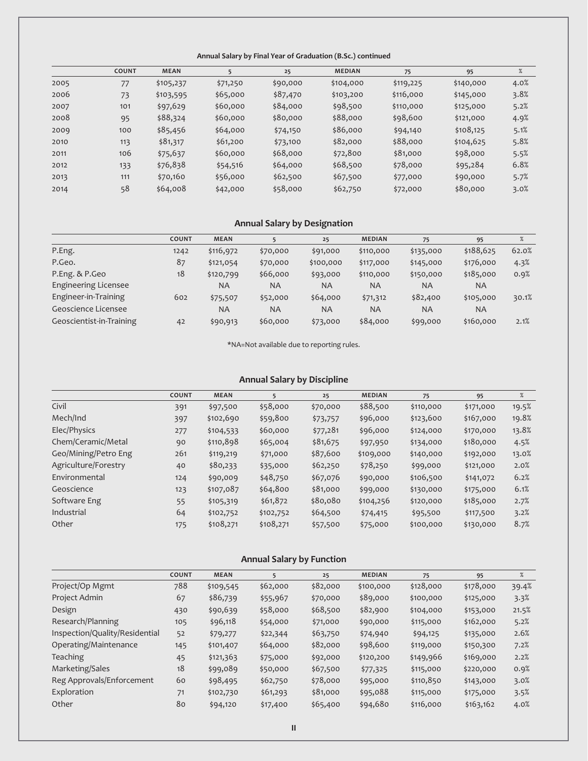#### **Annual salary by Final Year of Graduation (b.sc.) continued**

|      | <b>COUNT</b> | <b>MEAN</b> | 5        | 25       | <b>MEDIAN</b> | 75        | 95        | %    |
|------|--------------|-------------|----------|----------|---------------|-----------|-----------|------|
| 2005 | 77           | \$105,237   | \$71,250 | \$90,000 | \$104,000     | \$119,225 | \$140,000 | 4.0% |
| 2006 | 73           | \$103,595   | \$65,000 | \$87,470 | \$103,200     | \$116,000 | \$145,000 | 3.8% |
| 2007 | 101          | \$97,629    | \$60,000 | \$84,000 | \$98,500      | \$110,000 | \$125,000 | 5.2% |
| 2008 | 95           | \$88,324    | \$60,000 | \$80,000 | \$88,000      | \$98,600  | \$121,000 | 4.9% |
| 2009 | 100          | \$85,456    | \$64,000 | \$74,150 | \$86,000      | \$94,140  | \$108,125 | 5.1% |
| 2010 | 113          | \$81,317    | \$61,200 | \$73,100 | \$82,000      | \$88,000  | \$104,625 | 5.8% |
| 2011 | 106          | \$75,637    | \$60,000 | \$68,000 | \$72,800      | \$81,000  | \$98,000  | 5.5% |
| 2012 | 133          | \$76,838    | \$54,516 | \$64,000 | \$68,500      | \$78,000  | \$95,284  | 6.8% |
| 2013 | 111          | \$70,160    | \$56,000 | \$62,500 | \$67,500      | \$77,000  | \$90,000  | 5.7% |
| 2014 | 58           | \$64,008    | \$42,000 | \$58,000 | \$62,750      | \$72,000  | \$80,000  | 3.0% |

## **Annual salary by designation**

|                             | <b>COUNT</b> | <b>MEAN</b> |           | 25        | <b>MEDIAN</b> | 75        | 95        | %     |
|-----------------------------|--------------|-------------|-----------|-----------|---------------|-----------|-----------|-------|
| P.Eng.                      | 1242         | \$116,972   | \$70,000  | \$91,000  | \$110,000     | \$135,000 | \$188,625 | 62.0% |
| P.Geo.                      | 87           | \$121,054   | \$70,000  | \$100,000 | \$117,000     | \$145,000 | \$176,000 | 4.3%  |
| P.Eng. & P.Geo              | 18           | \$120,799   | \$66,000  | \$93,000  | \$110,000     | \$150,000 | \$185,000 | 0.9%  |
| <b>Engineering Licensee</b> |              | <b>NA</b>   | <b>NA</b> | <b>NA</b> | <b>NA</b>     | <b>NA</b> | <b>NA</b> |       |
| Engineer-in-Training        | 602          | \$75,507    | \$52,000  | \$64,000  | \$71,312      | \$82,400  | \$105,000 | 30.1% |
| Geoscience Licensee         |              | <b>NA</b>   | <b>NA</b> | <b>NA</b> | <b>NA</b>     | <b>NA</b> | <b>NA</b> |       |
| Geoscientist-in-Training    | 42           | \$90,913    | \$60,000  | \$73,000  | \$84,000      | \$99,000  | \$160,000 | 2.1%  |

\*Na=Not available due to reporting rules.

## **Annual Salary by Discipline**

|                      | <b>COUNT</b> | <b>MEAN</b> | 5         | 25       | <b>MEDIAN</b> | 75        | 95        | %     |
|----------------------|--------------|-------------|-----------|----------|---------------|-----------|-----------|-------|
| Civil                | 391          | \$97,500    | \$58,000  | \$70,000 | \$88,500      | \$110,000 | \$171,000 | 19.5% |
| Mech/Ind             | 397          | \$102,690   | \$59,800  | \$73,757 | \$96,000      | \$123,600 | \$167,000 | 19.8% |
| Elec/Physics         | 277          | \$104,533   | \$60,000  | \$77,281 | \$96,000      | \$124,000 | \$170,000 | 13.8% |
| Chem/Ceramic/Metal   | 90           | \$110,898   | \$65,004  | \$81,675 | \$97,950      | \$134,000 | \$180,000 | 4.5%  |
| Geo/Mining/Petro Eng | 261          | \$119,219   | \$71,000  | \$87,600 | \$109,000     | \$140,000 | \$192,000 | 13.0% |
| Agriculture/Forestry | 40           | \$80,233    | \$35,000  | \$62,250 | \$78,250      | \$99,000  | \$121,000 | 2.0%  |
| Environmental        | 124          | \$90,009    | \$48,750  | \$67,076 | \$90,000      | \$106,500 | \$141,072 | 6.2%  |
| Geoscience           | 123          | \$107,087   | \$64,800  | \$81,000 | \$99,000      | \$130,000 | \$175,000 | 6.1%  |
| Software Eng         | 55           | \$105,319   | \$61,872  | \$80,080 | \$104,256     | \$120,000 | \$185,000 | 2.7%  |
| Industrial           | 64           | \$102,752   | \$102,752 | \$64,500 | \$74,415      | \$95,500  | \$117,500 | 3.2%  |
| Other                | 175          | \$108,271   | \$108,271 | \$57,500 | \$75,000      | \$100,000 | \$130,000 | 8.7%  |

## **Annual salary by Function**

|                                | <b>COUNT</b> | <b>MEAN</b> | 5        | 25       | <b>MEDIAN</b> | 75        | 95        | $\%$  |
|--------------------------------|--------------|-------------|----------|----------|---------------|-----------|-----------|-------|
| Project/Op Mgmt                | 788          | \$109,545   | \$62,000 | \$82,000 | \$100,000     | \$128,000 | \$178,000 | 39.4% |
| Project Admin                  | 67           | \$86,739    | \$55,967 | \$70,000 | \$89,000      | \$100,000 | \$125,000 | 3.3%  |
| Design                         | 430          | \$90,639    | \$58,000 | \$68,500 | \$82,900      | \$104,000 | \$153,000 | 21.5% |
| Research/Planning              | 105          | \$96,118    | \$54,000 | \$71,000 | \$90,000      | \$115,000 | \$162,000 | 5.2%  |
| Inspection/Quality/Residential | 52           | \$79,277    | \$22,344 | \$63,750 | \$74,940      | \$94,125  | \$135,000 | 2.6%  |
| Operating/Maintenance          | 145          | \$101,407   | \$64,000 | \$82,000 | \$98,600      | \$119,000 | \$150,300 | 7.2%  |
| <b>Teaching</b>                | 45           | \$121,363   | \$75,000 | \$92,000 | \$120,200     | \$149,966 | \$169,000 | 2.2%  |
| Marketing/Sales                | 18           | \$99,089    | \$50,000 | \$67,500 | \$77,325      | \$115,000 | \$220,000 | 0.9%  |
| Reg Approvals/Enforcement      | 60           | \$98,495    | \$62,750 | \$78,000 | \$95,000      | \$110,850 | \$143,000 | 3.0%  |
| Exploration                    | 71           | \$102,730   | \$61,293 | \$81,000 | \$95,088      | \$115,000 | \$175,000 | 3.5%  |
| Other                          | 80           | \$94,120    | \$17,400 | \$65,400 | \$94,680      | \$116,000 | \$163,162 | 4.0%  |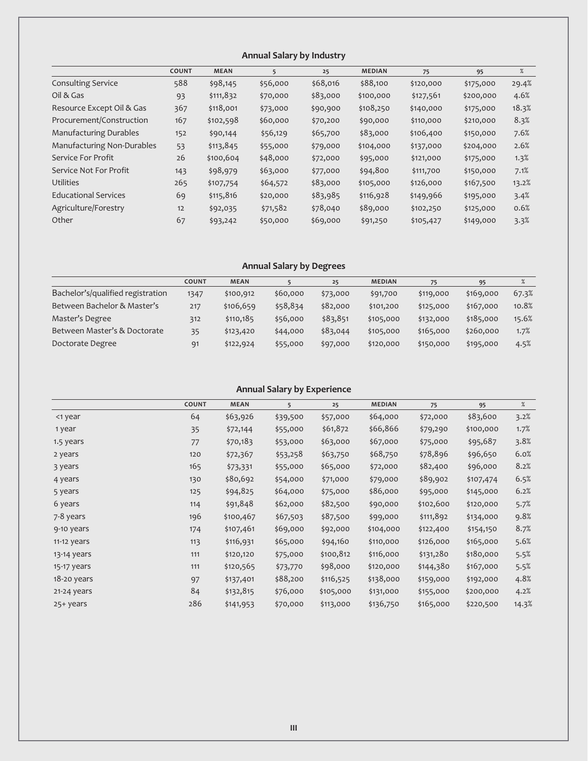## **Annual salary by Industry**

|                               | <b>COUNT</b> | <b>MEAN</b> | 5        | 25       | <b>MEDIAN</b> | 75        | 95        | %     |
|-------------------------------|--------------|-------------|----------|----------|---------------|-----------|-----------|-------|
| <b>Consulting Service</b>     | 588          | \$98,145    | \$56,000 | \$68,016 | \$88,100      | \$120,000 | \$175,000 | 29.4% |
| Oil & Gas                     | 93           | \$111,832   | \$70,000 | \$83,000 | \$100,000     | \$127,561 | \$200,000 | 4.6%  |
| Resource Except Oil & Gas     | 367          | \$118,001   | \$73,000 | \$90,900 | \$108,250     | \$140,000 | \$175,000 | 18.3% |
| Procurement/Construction      | 167          | \$102,598   | \$60,000 | \$70,200 | \$90,000      | \$110,000 | \$210,000 | 8.3%  |
| <b>Manufacturing Durables</b> | 152          | \$90,144    | \$56,129 | \$65,700 | \$83,000      | \$106,400 | \$150,000 | 7.6%  |
| Manufacturing Non-Durables    | 53           | \$113,845   | \$55,000 | \$79,000 | \$104,000     | \$137,000 | \$204,000 | 2.6%  |
| Service For Profit            | 26           | \$100,604   | \$48,000 | \$72,000 | \$95,000      | \$121,000 | \$175,000 | 1.3%  |
| Service Not For Profit        | 143          | \$98,979    | \$63,000 | \$77,000 | \$94,800      | \$111,700 | \$150,000 | 7.1%  |
| <b>Utilities</b>              | 265          | \$107,754   | \$64,572 | \$83,000 | \$105,000     | \$126,000 | \$167,500 | 13.2% |
| <b>Educational Services</b>   | 69           | \$115,816   | \$20,000 | \$83,985 | \$116,928     | \$149,966 | \$195,000 | 3.4%  |
| Agriculture/Forestry          | 12           | \$92,035    | \$71,582 | \$78,040 | \$89,000      | \$102,250 | \$125,000 | 0.6%  |
| Other                         | 67           | \$93,242    | \$50,000 | \$69,000 | \$91,250      | \$105,427 | \$149,000 | 3.3%  |

## **Annual salary by degrees**

|                                   | <b>COUNT</b> | <b>MEAN</b> |          | 25       | <b>MEDIAN</b> | 75        | 95        |       |
|-----------------------------------|--------------|-------------|----------|----------|---------------|-----------|-----------|-------|
| Bachelor's/qualified registration | 1347         | \$100,912   | \$60,000 | \$73,000 | \$91,700      | \$119,000 | \$169,000 | 67.3% |
| Between Bachelor & Master's       | 217          | \$106,659   | \$58,834 | \$82,000 | \$101,200     | \$125,000 | \$167,000 | 10.8% |
| Master's Degree                   | 312          | \$110,185   | \$56,000 | \$83,851 | \$105,000     | \$132,000 | \$185,000 | 15.6% |
| Between Master's & Doctorate      | 35           | \$123,420   | \$44,000 | \$83,044 | \$105,000     | \$165,000 | \$260,000 | 1.7%  |
| Doctorate Degree                  | 91           | \$122,924   | \$55,000 | \$97,000 | \$120,000     | \$150,000 | \$195,000 | 4.5%  |

## **Annual salary by experience**

|               | <b>COUNT</b> | <b>MEAN</b> | 5        | 25        | <b>MEDIAN</b> | 75        | 95        | %     |
|---------------|--------------|-------------|----------|-----------|---------------|-----------|-----------|-------|
| <1 year       | 64           | \$63,926    | \$39,500 | \$57,000  | \$64,000      | \$72,000  | \$83,600  | 3.2%  |
| 1 year        | 35           | \$72,144    | \$55,000 | \$61,872  | \$66,866      | \$79,290  | \$100,000 | 1.7%  |
| 1.5 years     | 77           | \$70,183    | \$53,000 | \$63,000  | \$67,000      | \$75,000  | \$95,687  | 3.8%  |
| 2 years       | 120          | \$72,367    | \$53,258 | \$63,750  | \$68,750      | \$78,896  | \$96,650  | 6.0%  |
| 3 years       | 165          | \$73,331    | \$55,000 | \$65,000  | \$72,000      | \$82,400  | \$96,000  | 8.2%  |
| 4 years       | 130          | \$80,692    | \$54,000 | \$71,000  | \$79,000      | \$89,902  | \$107,474 | 6.5%  |
| 5 years       | 125          | \$94,825    | \$64,000 | \$75,000  | \$86,000      | \$95,000  | \$145,000 | 6.2%  |
| 6 years       | 114          | \$91,848    | \$62,000 | \$82,500  | \$90,000      | \$102,600 | \$120,000 | 5.7%  |
| 7-8 years     | 196          | \$100,467   | \$67,503 | \$87,500  | \$99,000      | \$111,892 | \$134,000 | 9.8%  |
| 9-10 years    | 174          | \$107,461   | \$69,000 | \$92,000  | \$104,000     | \$122,400 | \$154,150 | 8.7%  |
| 11-12 years   | 113          | \$116,931   | \$65,000 | \$94,160  | \$110,000     | \$126,000 | \$165,000 | 5.6%  |
| 13-14 years   | 111          | \$120,120   | \$75,000 | \$100,812 | \$116,000     | \$131,280 | \$180,000 | 5.5%  |
| 15-17 years   | 111          | \$120,565   | \$73,770 | \$98,000  | \$120,000     | \$144,380 | \$167,000 | 5.5%  |
| $18-20$ years | 97           | \$137,401   | \$88,200 | \$116,525 | \$138,000     | \$159,000 | \$192,000 | 4.8%  |
| 21-24 years   | 84           | \$132,815   | \$76,000 | \$105,000 | \$131,000     | \$155,000 | \$200,000 | 4.2%  |
| 25+ years     | 286          | \$141,953   | \$70,000 | \$113,000 | \$136,750     | \$165,000 | \$220,500 | 14.3% |